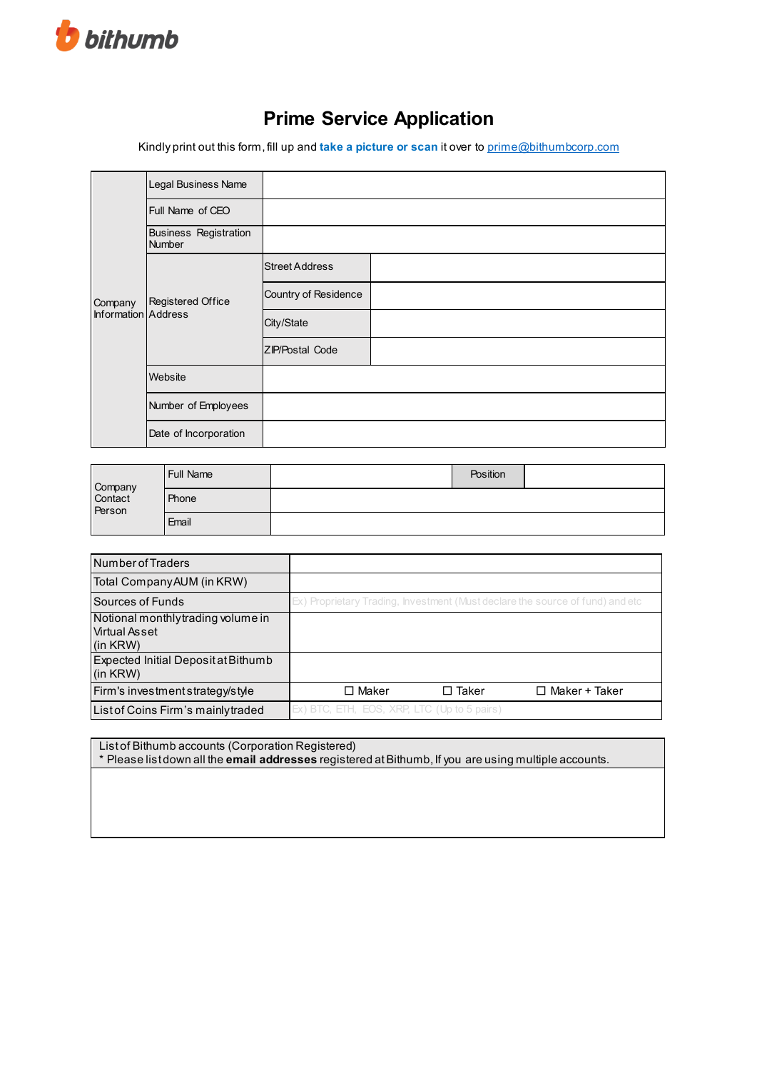

## **Prime Service Application**

Kindly print out this form, fill up and **take a picture or scan** it over to [prime@bithumbcorp.com](mailto:prime@bithumbcorp.com)

|                                | Legal Business Name                           |                        |  |
|--------------------------------|-----------------------------------------------|------------------------|--|
| Company<br>Information Address | Full Name of CEO                              |                        |  |
|                                | <b>Business Registration</b><br><b>Number</b> |                        |  |
|                                | Registered Office                             | <b>Street Address</b>  |  |
|                                |                                               | Country of Residence   |  |
|                                |                                               | City/State             |  |
|                                |                                               | <b>ZIP/Postal Code</b> |  |
|                                | Website                                       |                        |  |
|                                | Number of Employees                           |                        |  |
|                                | Date of Incorporation                         |                        |  |

|                              | Full Name | Position |  |
|------------------------------|-----------|----------|--|
| Company<br>Contact<br>Person | Phone     |          |  |
|                              | Email     |          |  |

| <b>Number of Traders</b>                                               |                                                                               |              |                      |
|------------------------------------------------------------------------|-------------------------------------------------------------------------------|--------------|----------------------|
| Total Company AUM (in KRW)                                             |                                                                               |              |                      |
| Sources of Funds                                                       | Ex) Proprietary Trading, Investment (Must declare the source of fund) and etc |              |                      |
| Notional monthly trading volume in<br><b>Virtual Asset</b><br>(in KRW) |                                                                               |              |                      |
| Expected Initial Deposit at Bithumb<br>(in KRW)                        |                                                                               |              |                      |
| Firm's investment strategy/style                                       | □ Maker                                                                       | $\Box$ Taker | $\Box$ Maker + Taker |
| List of Coins Firm's mainly traded                                     | Ex) BTC, ETH, EOS, XRP, LTC (Up to 5 pairs)                                   |              |                      |

List of Bithumb accounts (Corporation Registered) \* Please list down all the **email addresses** registered at Bithumb, If you are using multiple accounts.